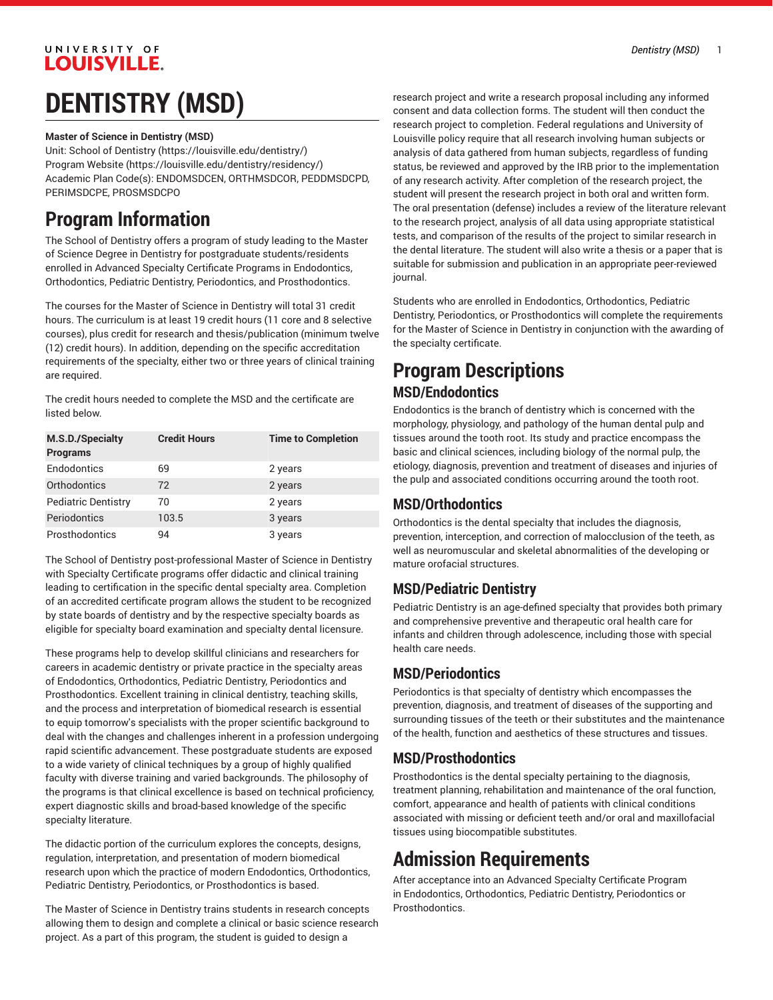# **LOUISVILLE. DENTISTRY (MSD)**

UNIVERSITY OF

#### **Master of Science in Dentistry (MSD)**

Unit: School of [Dentistry](https://louisville.edu/dentistry/) [\(https://louisville.edu/dentistry/\)](https://louisville.edu/dentistry/) [Program](https://louisville.edu/dentistry/residency/) Website [\(https://louisville.edu/dentistry/residency/](https://louisville.edu/dentistry/residency/)) Academic Plan Code(s): ENDOMSDCEN, ORTHMSDCOR, PEDDMSDCPD, PERIMSDCPE, PROSMSDCPO

# **Program Information**

The School of Dentistry offers a program of study leading to the Master of Science Degree in Dentistry for postgraduate students/residents enrolled in Advanced Specialty Certificate Programs in Endodontics, Orthodontics, Pediatric Dentistry, Periodontics, and Prosthodontics.

The courses for the Master of Science in Dentistry will total 31 credit hours. The curriculum is at least 19 credit hours (11 core and 8 selective courses), plus credit for research and thesis/publication (minimum twelve (12) credit hours). In addition, depending on the specific accreditation requirements of the specialty, either two or three years of clinical training are required.

The credit hours needed to complete the MSD and the certificate are listed below.

| M.S.D./Specialty<br><b>Programs</b> | <b>Credit Hours</b> | <b>Time to Completion</b> |
|-------------------------------------|---------------------|---------------------------|
| Endodontics                         | 69                  | 2 years                   |
| Orthodontics                        | 72                  | 2 years                   |
| <b>Pediatric Dentistry</b>          | 70                  | 2 years                   |
| Periodontics                        | 103.5               | 3 years                   |
| Prosthodontics                      | 94                  | 3 years                   |

The School of Dentistry post-professional Master of Science in Dentistry with Specialty Certificate programs offer didactic and clinical training leading to certification in the specific dental specialty area. Completion of an accredited certificate program allows the student to be recognized by state boards of dentistry and by the respective specialty boards as eligible for specialty board examination and specialty dental licensure.

These programs help to develop skillful clinicians and researchers for careers in academic dentistry or private practice in the specialty areas of Endodontics, Orthodontics, Pediatric Dentistry, Periodontics and Prosthodontics. Excellent training in clinical dentistry, teaching skills, and the process and interpretation of biomedical research is essential to equip tomorrow's specialists with the proper scientific background to deal with the changes and challenges inherent in a profession undergoing rapid scientific advancement. These postgraduate students are exposed to a wide variety of clinical techniques by a group of highly qualified faculty with diverse training and varied backgrounds. The philosophy of the programs is that clinical excellence is based on technical proficiency, expert diagnostic skills and broad-based knowledge of the specific specialty literature.

The didactic portion of the curriculum explores the concepts, designs, regulation, interpretation, and presentation of modern biomedical research upon which the practice of modern Endodontics, Orthodontics, Pediatric Dentistry, Periodontics, or Prosthodontics is based.

The Master of Science in Dentistry trains students in research concepts allowing them to design and complete a clinical or basic science research project. As a part of this program, the student is guided to design a

research project and write a research proposal including any informed consent and data collection forms. The student will then conduct the research project to completion. Federal regulations and University of Louisville policy require that all research involving human subjects or analysis of data gathered from human subjects, regardless of funding status, be reviewed and approved by the IRB prior to the implementation of any research activity. After completion of the research project, the student will present the research project in both oral and written form. The oral presentation (defense) includes a review of the literature relevant to the research project, analysis of all data using appropriate statistical tests, and comparison of the results of the project to similar research in the dental literature. The student will also write a thesis or a paper that is suitable for submission and publication in an appropriate peer-reviewed journal.

Students who are enrolled in Endodontics, Orthodontics, Pediatric Dentistry, Periodontics, or Prosthodontics will complete the requirements for the Master of Science in Dentistry in conjunction with the awarding of the specialty certificate.

### **Program Descriptions MSD/Endodontics**

Endodontics is the branch of dentistry which is concerned with the morphology, physiology, and pathology of the human dental pulp and tissues around the tooth root. Its study and practice encompass the basic and clinical sciences, including biology of the normal pulp, the etiology, diagnosis, prevention and treatment of diseases and injuries of the pulp and associated conditions occurring around the tooth root.

### **MSD/Orthodontics**

Orthodontics is the dental specialty that includes the diagnosis, prevention, interception, and correction of malocclusion of the teeth, as well as neuromuscular and skeletal abnormalities of the developing or mature orofacial structures.

### **MSD/Pediatric Dentistry**

Pediatric Dentistry is an age-defined specialty that provides both primary and comprehensive preventive and therapeutic oral health care for infants and children through adolescence, including those with special health care needs.

### **MSD/Periodontics**

Periodontics is that specialty of dentistry which encompasses the prevention, diagnosis, and treatment of diseases of the supporting and surrounding tissues of the teeth or their substitutes and the maintenance of the health, function and aesthetics of these structures and tissues.

### **MSD/Prosthodontics**

Prosthodontics is the dental specialty pertaining to the diagnosis, treatment planning, rehabilitation and maintenance of the oral function, comfort, appearance and health of patients with clinical conditions associated with missing or deficient teeth and/or oral and maxillofacial tissues using biocompatible substitutes.

# **Admission Requirements**

After acceptance into an Advanced Specialty Certificate Program in Endodontics, Orthodontics, Pediatric Dentistry, Periodontics or Prosthodontics.